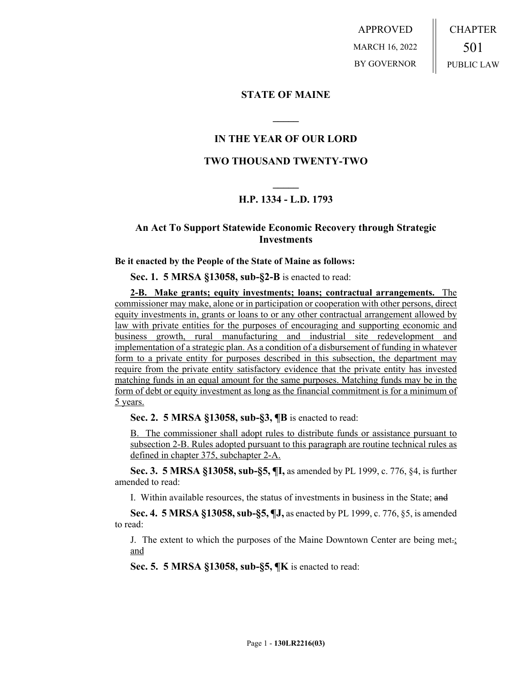APPROVED MARCH 16, 2022 BY GOVERNOR CHAPTER 501 PUBLIC LAW

### **STATE OF MAINE**

## **IN THE YEAR OF OUR LORD**

**\_\_\_\_\_**

## **TWO THOUSAND TWENTY-TWO**

# **\_\_\_\_\_ H.P. 1334 - L.D. 1793**

## **An Act To Support Statewide Economic Recovery through Strategic Investments**

#### **Be it enacted by the People of the State of Maine as follows:**

**Sec. 1. 5 MRSA §13058, sub-§2-B** is enacted to read:

**2-B. Make grants; equity investments; loans; contractual arrangements.** The commissioner may make, alone or in participation or cooperation with other persons, direct equity investments in, grants or loans to or any other contractual arrangement allowed by law with private entities for the purposes of encouraging and supporting economic and business growth, rural manufacturing and industrial site redevelopment and implementation of a strategic plan. As a condition of a disbursement of funding in whatever form to a private entity for purposes described in this subsection, the department may require from the private entity satisfactory evidence that the private entity has invested matching funds in an equal amount for the same purposes. Matching funds may be in the form of debt or equity investment as long as the financial commitment is for a minimum of 5 years.

**Sec. 2. 5 MRSA §13058, sub-§3, ¶B** is enacted to read:

B. The commissioner shall adopt rules to distribute funds or assistance pursuant to subsection 2-B. Rules adopted pursuant to this paragraph are routine technical rules as defined in chapter 375, subchapter 2-A.

**Sec. 3. 5 MRSA §13058, sub-§5, ¶I,** as amended by PL 1999, c. 776, §4, is further amended to read:

I. Within available resources, the status of investments in business in the State; and

**Sec. 4. 5 MRSA §13058, sub-§5, ¶J,** as enacted by PL 1999, c. 776, §5, is amended to read:

J. The extent to which the purposes of the Maine Downtown Center are being met.; and

**Sec. 5. 5 MRSA §13058, sub-§5, ¶K** is enacted to read: